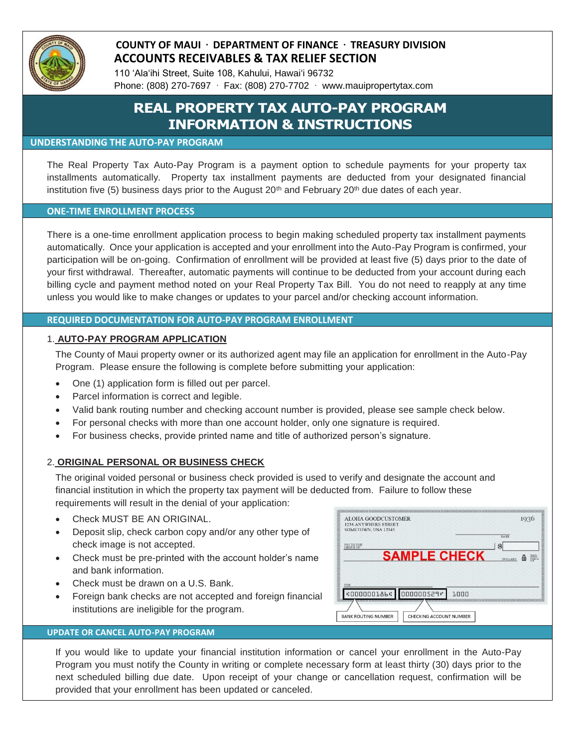

### **COUNTY OF MAUI DEPARTMENT OF FINANCE TREASURY DIVISION ACCOUNTS RECEIVABLES & TAX RELIEF SECTION**

110 'Ala'ihi Street, Suite 108, Kahului, Hawai'i 96732 Phone: (808) 270-7697  $\cdot$  Fax: (808) 270-7702  $\cdot$  www.mauipropertytax.com

# **REAL PROPERTY TAX AUTO-PAY PROGRAM INFORMATION & INSTRUCTIONS**

#### **UNDERSTANDING THE AUTO-PAY PROGRAM**

The Real Property Tax Auto-Pay Program is a payment option to schedule payments for your property tax installments automatically. Property tax installment payments are deducted from your designated financial institution five (5) business days prior to the August  $20<sup>th</sup>$  and February  $20<sup>th</sup>$  due dates of each year.

#### **ONE-TIME ENROLLMENT PROCESS**

There is a one-time enrollment application process to begin making scheduled property tax installment payments automatically. Once your application is accepted and your enrollment into the Auto-Pay Program is confirmed, your participation will be on-going. Confirmation of enrollment will be provided at least five (5) days prior to the date of your first withdrawal. Thereafter, automatic payments will continue to be deducted from your account during each billing cycle and payment method noted on your Real Property Tax Bill. You do not need to reapply at any time unless you would like to make changes or updates to your parcel and/or checking account information.

#### **REQUIRED DOCUMENTATION FOR AUTO-PAY PROGRAM ENROLLMENT**

#### 1. **AUTO-PAY PROGRAM APPLICATION**

The County of Maui property owner or its authorized agent may file an application for enrollment in the Auto-Pay Program. Please ensure the following is complete before submitting your application:

- One (1) application form is filled out per parcel.
- Parcel information is correct and legible.
- Valid bank routing number and checking account number is provided, please see sample check below.
- For personal checks with more than one account holder, only one signature is required.
- For business checks, provide printed name and title of authorized person's signature.

#### 2. **ORIGINAL PERSONAL OR BUSINESS CHECK**

The original voided personal or business check provided is used to verify and designate the account and financial institution in which the property tax payment will be deducted from. Failure to follow these requirements will result in the denial of your application:

- Check MUST BE AN ORIGINAL.
- Deposit slip, check carbon copy and/or any other type of check image is not accepted.
- Check must be pre-printed with the account holder's name and bank information.
- Check must be drawn on a U.S. Bank.
- Foreign bank checks are not accepted and foreign financial institutions are ineligible for the program.

#### ALOHA GOODCUSTOMER 1936 1234 ANYWHERE STREE<br>SOMETOWN, USA 12345 DATE PAY TO THE<br>ORDER OF **SAMPLE CHECK COOOOOL86C** 000000529" 1000 **BANK ROUTING NUMBER** CHECKING ACCOUNT NUMBER

#### **UPDATE OR CANCEL AUTO-PAY PROGRAM**

If you would like to update your financial institution information or cancel your enrollment in the Auto-Pay Program you must notify the County in writing or complete necessary form at least thirty (30) days prior to the next scheduled billing due date. Upon receipt of your change or cancellation request, confirmation will be provided that your enrollment has been updated or canceled.